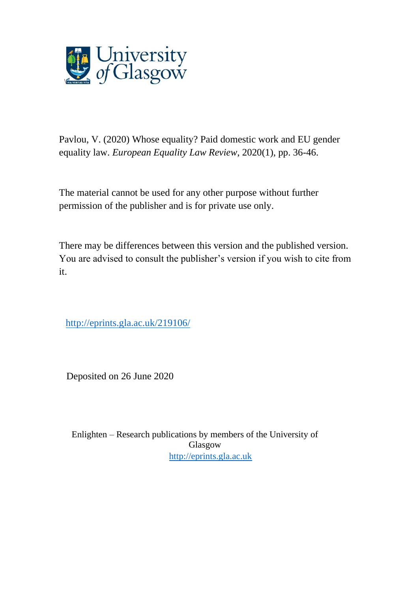

Pavlou, V. (2020) Whose equality? Paid domestic work and EU gender equality law. *European Equality Law Review*, 2020(1), pp. 36-46.

The material cannot be used for any other purpose without further permission of the publisher and is for private use only.

There may be differences between this version and the published version. You are advised to consult the publisher's version if you wish to cite from it.

[http://eprints.gla.ac.uk/219106/](http://eprints.gla.ac.uk/209296/)

Deposited on 26 June 2020

Enlighten – Research publications by members of the University of Glasgow [http://eprints.gla.ac.uk](http://eprints.gla.ac.uk/)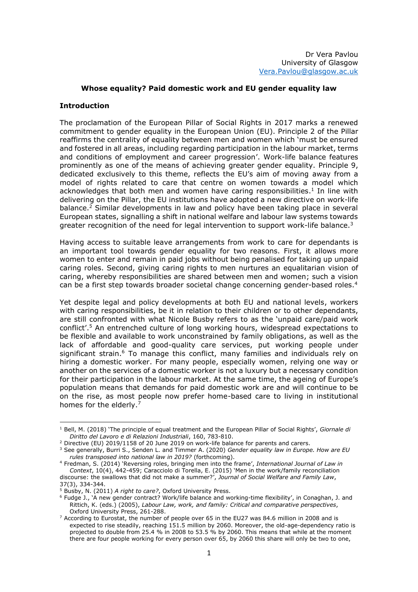# **Whose equality? Paid domestic work and EU gender equality law**

## **Introduction**

The proclamation of the European Pillar of Social Rights in 2017 marks a renewed commitment to gender equality in the European Union (EU). Principle 2 of the Pillar reaffirms the centrality of equality between men and women which 'must be ensured and fostered in all areas, including regarding participation in the labour market, terms and conditions of employment and career progression'. Work-life balance features prominently as one of the means of achieving greater gender equality. Principle 9, dedicated exclusively to this theme, reflects the EU's aim of moving away from a model of rights related to care that centre on women towards a model which acknowledges that both men and women have caring responsibilities.<sup>1</sup> In line with delivering on the Pillar, the EU institutions have adopted a new directive on work-life balance. <sup>2</sup> Similar developments in law and policy have been taking place in several European states, signalling a shift in national welfare and labour law systems towards greater recognition of the need for legal intervention to support work-life balance.<sup>3</sup>

Having access to suitable leave arrangements from work to care for dependants is an important tool towards gender equality for two reasons. First, it allows more women to enter and remain in paid jobs without being penalised for taking up unpaid caring roles. Second, giving caring rights to men nurtures an equalitarian vision of caring, whereby responsibilities are shared between men and women; such a vision can be a first step towards broader societal change concerning gender-based roles.<sup>4</sup>

Yet despite legal and policy developments at both EU and national levels, workers with caring responsibilities, be it in relation to their children or to other dependants, are still confronted with what Nicole Busby refers to as the 'unpaid care/paid work conflict'. <sup>5</sup> An entrenched culture of long working hours, widespread expectations to be flexible and available to work unconstrained by family obligations, as well as the lack of affordable and good-quality care services, put working people under significant strain.<sup>6</sup> To manage this conflict, many families and individuals rely on hiring a domestic worker. For many people, especially women, relying one way or another on the services of a domestic worker is not a luxury but a necessary condition for their participation in the labour market. At the same time, the ageing of Europe's population means that demands for paid domestic work are and will continue to be on the rise, as most people now prefer home-based care to living in institutional homes for the elderly.<sup>7</sup>

<sup>1</sup> Bell, M. (2018) 'The principle of equal treatment and the European Pillar of Social Rights', *Giornale di Diritto del Lavoro e di Relazioni Industriali*, 160, 783-810.

<sup>2</sup> Directive (EU) 2019/1158 of 20 June 2019 on work-life balance for parents and carers.

<sup>3</sup> See generally, Burri S., Senden L. and Timmer A. (2020) *Gender equality law in Europe. How are EU rules transposed into national law in 2019?* (forthcoming).

<sup>4</sup> Fredman, S. (2014) 'Reversing roles, bringing men into the frame', *International Journal of Law in Context*, 10(4), 442-459; Caracciolo di Torella, E. (2015) 'Men in the work/family reconciliation discourse: the swallows that did not make a summer?', *Journal of Social Welfare and Family Law*, 37(3), 334-344.

<sup>5</sup> Busby, N. (2011) *A right to care?*, Oxford University Press.

<sup>&</sup>lt;sup>6</sup> Fudge J., 'A new gender contract? Work/life balance and working-time flexibility', in Conaghan, J. and Rittich, K. (eds.) (2005), *Labour Law, work, and family: Critical and comparative perspectives*, Oxford University Press, 261-288.

 $7$  According to Eurostat, the number of people over 65 in the EU27 was 84.6 million in 2008 and is expected to rise steadily, reaching 151.5 million by 2060. Moreover, the old-age-dependency ratio is projected to double from 25.4 % in 2008 to 53.5 % by 2060. This means that while at the moment there are four people working for every person over 65, by 2060 this share will only be two to one,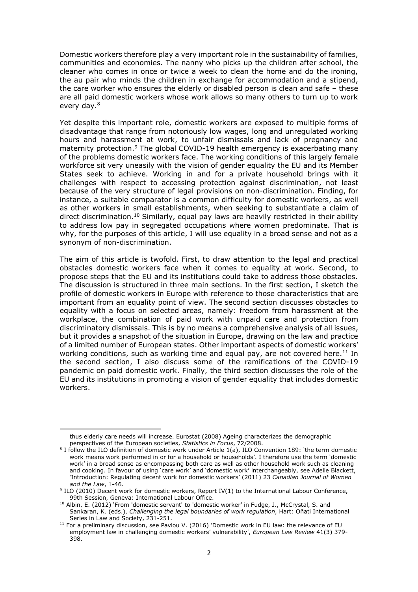Domestic workers therefore play a very important role in the sustainability of families, communities and economies. The nanny who picks up the children after school, the cleaner who comes in once or twice a week to clean the home and do the ironing, the au pair who minds the children in exchange for accommodation and a stipend, the care worker who ensures the elderly or disabled person is clean and safe – these are all paid domestic workers whose work allows so many others to turn up to work every day.<sup>8</sup>

Yet despite this important role, domestic workers are exposed to multiple forms of disadvantage that range from notoriously low wages, long and unregulated working hours and harassment at work, to unfair dismissals and lack of pregnancy and maternity protection.<sup>9</sup> The global COVID-19 health emergency is exacerbating many of the problems domestic workers face. The working conditions of this largely female workforce sit very uneasily with the vision of gender equality the EU and its Member States seek to achieve. Working in and for a private household brings with it challenges with respect to accessing protection against discrimination, not least because of the very structure of legal provisions on non-discrimination. Finding, for instance, a suitable comparator is a common difficulty for domestic workers, as well as other workers in small establishments, when seeking to substantiate a claim of direct discrimination.<sup>10</sup> Similarly, equal pay laws are heavily restricted in their ability to address low pay in segregated occupations where women predominate. That is why, for the purposes of this article, I will use equality in a broad sense and not as a synonym of non-discrimination.

The aim of this article is twofold. First, to draw attention to the legal and practical obstacles domestic workers face when it comes to equality at work. Second, to propose steps that the EU and its institutions could take to address those obstacles. The discussion is structured in three main sections. In the first section, I sketch the profile of domestic workers in Europe with reference to those characteristics that are important from an equality point of view. The second section discusses obstacles to equality with a focus on selected areas, namely: freedom from harassment at the workplace, the combination of paid work with unpaid care and protection from discriminatory dismissals. This is by no means a comprehensive analysis of all issues, but it provides a snapshot of the situation in Europe, drawing on the law and practice of a limited number of European states. Other important aspects of domestic workers' working conditions, such as working time and equal pay, are not covered here.<sup>11</sup> In the second section, I also discuss some of the ramifications of the COVID-19 pandemic on paid domestic work. Finally, the third section discusses the role of the EU and its institutions in promoting a vision of gender equality that includes domestic workers.

thus elderly care needs will increase. Eurostat (2008) Ageing characterizes the demographic perspectives of the European societies, *Statistics in Focus*, 72/2008.

<sup>8</sup> I follow the ILO definition of domestic work under Article 1(a), ILO Convention 189: 'the term domestic work means work performed in or for a household or households'. I therefore use the term 'domestic work' in a broad sense as encompassing both care as well as other household work such as cleaning and cooking. In favour of using 'care work' and 'domestic work' interchangeably, see Adelle Blackett, 'Introduction: Regulating decent work for domestic workers' (2011) 23 *Canadian Journal of Women and the Law*, 1-46.

<sup>&</sup>lt;sup>9</sup> ILO (2010) Decent work for domestic workers, Report IV(1) to the International Labour Conference, 99th Session, Geneva: International Labour Office.

<sup>10</sup> Albin, E. (2012) 'From 'domestic servant' to 'domestic worker' in Fudge, J., McCrystal, S. and Sankaran, K. (eds.), *Challenging the legal boundaries of work regulation*, Hart: Oñati International Series in Law and Society, 231-251.

 $11$  For a preliminary discussion, see Pavlou V. (2016) 'Domestic work in EU law: the relevance of EU employment law in challenging domestic workers' vulnerability', *European Law Review* 41(3) 379- 398.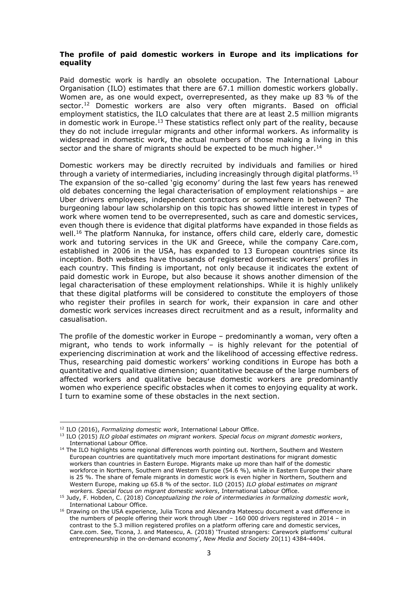# **The profile of paid domestic workers in Europe and its implications for equality**

Paid domestic work is hardly an obsolete occupation. The International Labour Organisation (ILO) estimates that there are 67.1 million domestic workers globally. Women are, as one would expect, overrepresented, as they make up 83 % of the sector.<sup>12</sup> Domestic workers are also very often migrants. Based on official employment statistics, the ILO calculates that there are at least 2.5 million migrants in domestic work in Europe.<sup>13</sup> These statistics reflect only part of the reality, because they do not include irregular migrants and other informal workers. As informality is widespread in domestic work, the actual numbers of those making a living in this sector and the share of migrants should be expected to be much higher.<sup>14</sup>

Domestic workers may be directly recruited by individuals and families or hired through a variety of intermediaries, including increasingly through digital platforms.<sup>15</sup> The expansion of the so-called 'gig economy' during the last few years has renewed old debates concerning the legal characterisation of employment relationships – are Uber drivers employees, independent contractors or somewhere in between? The burgeoning labour law scholarship on this topic has showed little interest in types of work where women tend to be overrepresented, such as care and domestic services, even though there is evidence that digital platforms have expanded in those fields as well.<sup>16</sup> The platform Nannuka, for instance, offers child care, elderly care, domestic work and tutoring services in the UK and Greece, while the company Care.com, established in 2006 in the USA, has expanded to 13 European countries since its inception. Both websites have thousands of registered domestic workers' profiles in each country. This finding is important, not only because it indicates the extent of paid domestic work in Europe, but also because it shows another dimension of the legal characterisation of these employment relationships. While it is highly unlikely that these digital platforms will be considered to constitute the employers of those who register their profiles in search for work, their expansion in care and other domestic work services increases direct recruitment and as a result, informality and casualisation.

The profile of the domestic worker in Europe – predominantly a woman, very often a migrant, who tends to work informally – is highly relevant for the potential of experiencing discrimination at work and the likelihood of accessing effective redress. Thus, researching paid domestic workers' working conditions in Europe has both a quantitative and qualitative dimension; quantitative because of the large numbers of affected workers and qualitative because domestic workers are predominantly women who experience specific obstacles when it comes to enjoying equality at work. I turn to examine some of these obstacles in the next section.

<sup>12</sup> ILO (2016), *Formalizing domestic work*, International Labour Office.

<sup>13</sup> ILO (2015) *ILO global estimates on migrant workers. Special focus on migrant domestic workers*, International Labour Office.

<sup>&</sup>lt;sup>14</sup> The ILO highlights some regional differences worth pointing out. Northern, Southern and Western European countries are quantitatively much more important destinations for migrant domestic workers than countries in Eastern Europe. Migrants make up more than half of the domestic workforce in Northern, Southern and Western Europe (54.6 %), while in Eastern Europe their share is 25 %. The share of female migrants in domestic work is even higher in Northern, Southern and Western Europe, making up 65.8 % of the sector. ILO (2015) *ILO global estimates on migrant workers. Special focus on migrant domestic workers*, International Labour Office.

<sup>15</sup> Judy, F. Hobden, C. (2018) *Conceptualizing the role of intermediaries in formalizing domestic work*, International Labour Office.

<sup>&</sup>lt;sup>16</sup> Drawing on the USA experience, Julia Ticona and Alexandra Mateescu document a vast difference in the numbers of people offering their work through Uber – 160 000 drivers registered in 2014 – in contrast to the 5.3 million registered profiles on a platform offering care and domestic services, Care.com. See, Ticona, J. and Mateescu, A. (2018) 'Trusted strangers: Carework platforms' cultural entrepreneurship in the on-demand economy', *New Media and Society* 20(11) 4384-4404.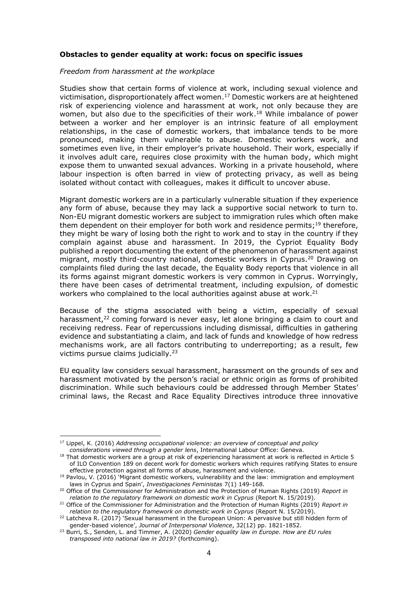## **Obstacles to gender equality at work: focus on specific issues**

#### *Freedom from harassment at the workplace*

Studies show that certain forms of violence at work, including sexual violence and victimisation, disproportionately affect women. <sup>17</sup> Domestic workers are at heightened risk of experiencing violence and harassment at work, not only because they are women, but also due to the specificities of their work.<sup>18</sup> While imbalance of power between a worker and her employer is an intrinsic feature of all employment relationships, in the case of domestic workers, that imbalance tends to be more pronounced, making them vulnerable to abuse. Domestic workers work, and sometimes even live, in their employer's private household. Their work, especially if it involves adult care, requires close proximity with the human body, which might expose them to unwanted sexual advances. Working in a private household, where labour inspection is often barred in view of protecting privacy, as well as being isolated without contact with colleagues, makes it difficult to uncover abuse.

Migrant domestic workers are in a particularly vulnerable situation if they experience any form of abuse, because they may lack a supportive social network to turn to. Non-EU migrant domestic workers are subject to immigration rules which often make them dependent on their employer for both work and residence permits;<sup>19</sup> therefore, they might be wary of losing both the right to work and to stay in the country if they complain against abuse and harassment. In 2019, the Cypriot Equality Body published a report documenting the extent of the phenomenon of harassment against migrant, mostly third-country national, domestic workers in Cyprus.<sup>20</sup> Drawing on complaints filed during the last decade, the Equality Body reports that violence in all its forms against migrant domestic workers is very common in Cyprus. Worryingly, there have been cases of detrimental treatment, including expulsion, of domestic workers who complained to the local authorities against abuse at work.<sup>21</sup>

Because of the stigma associated with being a victim, especially of sexual harassment,<sup>22</sup> coming forward is never easy, let alone bringing a claim to court and receiving redress. Fear of repercussions including dismissal, difficulties in gathering evidence and substantiating a claim, and lack of funds and knowledge of how redress mechanisms work, are all factors contributing to underreporting; as a result, few victims pursue claims judicially.<sup>23</sup>

EU equality law considers sexual harassment, harassment on the grounds of sex and harassment motivated by the person's racial or ethnic origin as forms of prohibited discrimination. While such behaviours could be addressed through Member States' criminal laws, the Recast and Race Equality Directives introduce three innovative

<sup>17</sup> Lippel, K. (2016) *Addressing occupational violence: an overview of conceptual and policy considerations viewed through a gender lens*, International Labour Office: Geneva.

<sup>&</sup>lt;sup>18</sup> That domestic workers are a group at risk of experiencing harassment at work is reflected in Article 5 of ILO Convention 189 on decent work for domestic workers which requires ratifying States to ensure effective protection against all forms of abuse, harassment and violence.

 $19$  Pavlou, V. (2016) 'Migrant domestic workers, vulnerability and the law: immigration and employment laws in Cyprus and Spain', *Investigaciones Feministas* 7(1) 149-168.

<sup>20</sup> Office of the Commissioner for Administration and the Protection of Human Rights (2019) *Report in relation to the regulatory framework on domestic work in Cyprus* (Report N. 15/2019).

<sup>21</sup> Office of the Commissioner for Administration and the Protection of Human Rights (2019) *Report in relation to the regulatory framework on domestic work in Cyprus* (Report N. 15/2019).

<sup>&</sup>lt;sup>22</sup> Latcheva R. (2017) 'Sexual harassment in the European Union: A pervasive but still hidden form of gender-based violence', *Journal of Interpersonal Violence*, 32(12) pp. 1821-1852.

<sup>23</sup> Burri, S., Senden, L. and Timmer, A. (2020) *Gender equality law in Europe. How are EU rules transposed into national law in 2019?* (forthcoming).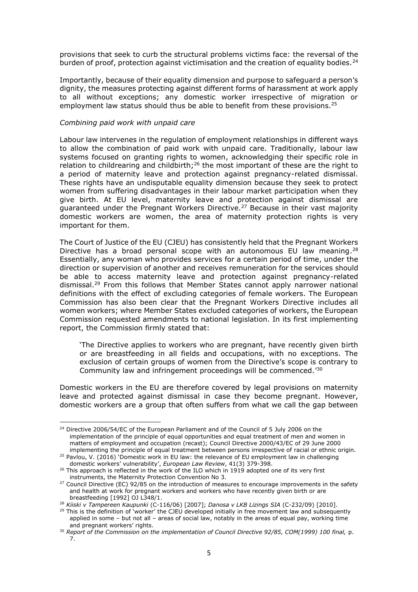provisions that seek to curb the structural problems victims face: the reversal of the burden of proof, protection against victimisation and the creation of equality bodies.<sup>24</sup>

Importantly, because of their equality dimension and purpose to safeguard a person's dignity, the measures protecting against different forms of harassment at work apply to all without exceptions; any domestic worker irrespective of migration or employment law status should thus be able to benefit from these provisions.<sup>25</sup>

### *Combining paid work with unpaid care*

Labour law intervenes in the regulation of employment relationships in different ways to allow the combination of paid work with unpaid care. Traditionally, labour law systems focused on granting rights to women, acknowledging their specific role in relation to childrearing and childbirth;<sup>26</sup> the most important of these are the right to a period of maternity leave and protection against pregnancy-related dismissal. These rights have an undisputable equality dimension because they seek to protect women from suffering disadvantages in their labour market participation when they give birth. At EU level, maternity leave and protection against dismissal are guaranteed under the Pregnant Workers Directive.<sup>27</sup> Because in their vast majority domestic workers are women, the area of maternity protection rights is very important for them.

The Court of Justice of the EU (CJEU) has consistently held that the Pregnant Workers Directive has a broad personal scope with an autonomous EU law meaning.<sup>28</sup> Essentially, any woman who provides services for a certain period of time, under the direction or supervision of another and receives remuneration for the services should be able to access maternity leave and protection against pregnancy-related dismissal.<sup>29</sup> From this follows that Member States cannot apply narrower national definitions with the effect of excluding categories of female workers. The European Commission has also been clear that the Pregnant Workers Directive includes all women workers; where Member States excluded categories of workers, the European Commission requested amendments to national legislation. In its first implementing report, the Commission firmly stated that:

'The Directive applies to workers who are pregnant, have recently given birth or are breastfeeding in all fields and occupations, with no exceptions. The exclusion of certain groups of women from the Directive's scope is contrary to Community law and infringement proceedings will be commenced.' 30

Domestic workers in the EU are therefore covered by legal provisions on maternity leave and protected against dismissal in case they become pregnant. However, domestic workers are a group that often suffers from what we call the gap between

<sup>&</sup>lt;sup>24</sup> Directive 2006/54/EC of the European Parliament and of the Council of 5 July 2006 on the implementation of the principle of equal opportunities and equal treatment of men and women in matters of employment and occupation (recast); Council Directive 2000/43/EC of 29 June 2000 implementing the principle of equal treatment between persons irrespective of racial or ethnic origin.

<sup>&</sup>lt;sup>25</sup> Pavlou, V. (2016) 'Domestic work in EU law: the relevance of EU employment law in challenging domestic workers' vulnerability', *European Law Review*, 41(3) 379-398.

<sup>&</sup>lt;sup>26</sup> This approach is reflected in the work of the ILO which in 1919 adopted one of its very first instruments, the Maternity Protection Convention No 3.

<sup>&</sup>lt;sup>27</sup> Council Directive (EC) 92/85 on the introduction of measures to encourage improvements in the safety and health at work for pregnant workers and workers who have recently given birth or are breastfeeding [1992] OJ L348/1.

<sup>28</sup> *Kiiski v Tampereen Kaupunki* (C-116/06) [2007]; *Danosa v LKB Lizings SIA* (C-232/09) [2010].

<sup>&</sup>lt;sup>29</sup> This is the definition of 'worker' the CJEU developed initially in free movement law and subsequently applied in some – but not all – areas of social law, notably in the areas of equal pay, working time and pregnant workers' rights.

<sup>30</sup> *Report of the Commission on the implementation of Council Directive 92/85, COM(1999) 100 final,* p. 7.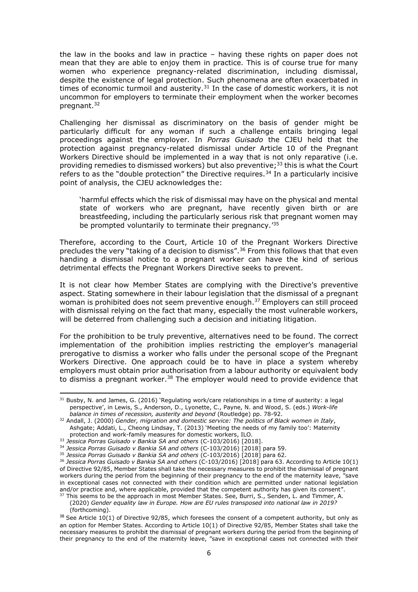the law in the books and law in practice – having these rights on paper does not mean that they are able to enjoy them in practice. This is of course true for many women who experience pregnancy-related discrimination, including dismissal, despite the existence of legal protection. Such phenomena are often exacerbated in times of economic turmoil and austerity. $31$  In the case of domestic workers, it is not uncommon for employers to terminate their employment when the worker becomes pregnant.<sup>32</sup>

Challenging her dismissal as discriminatory on the basis of gender might be particularly difficult for any woman if such a challenge entails bringing legal proceedings against the employer. In *Porras Guisado* the CJEU held that the protection against pregnancy-related dismissal under Article 10 of the Pregnant Workers Directive should be implemented in a way that is not only reparative (i.e. providing remedies to dismissed workers) but also preventive; <sup>33</sup> this is what the Court refers to as the "double protection" the Directive requires.<sup>34</sup> In a particularly incisive point of analysis, the CJEU acknowledges the:

'harmful effects which the risk of dismissal may have on the physical and mental state of workers who are pregnant, have recently given birth or are breastfeeding, including the particularly serious risk that pregnant women may be prompted voluntarily to terminate their pregnancy.<sup>135</sup>

Therefore, according to the Court, Article 10 of the Pregnant Workers Directive precludes the very "taking of a decision to dismiss".<sup>36</sup> From this follows that that even handing a dismissal notice to a pregnant worker can have the kind of serious detrimental effects the Pregnant Workers Directive seeks to prevent.

It is not clear how Member States are complying with the Directive's preventive aspect. Stating somewhere in their labour legislation that the dismissal of a pregnant woman is prohibited does not seem preventive enough.<sup>37</sup> Employers can still proceed with dismissal relying on the fact that many, especially the most vulnerable workers, will be deterred from challenging such a decision and initiating litigation.

For the prohibition to be truly preventive, alternatives need to be found. The correct implementation of the prohibition implies restricting the employer's managerial prerogative to dismiss a worker who falls under the personal scope of the Pregnant Workers Directive. One approach could be to have in place a system whereby employers must obtain prior authorisation from a labour authority or equivalent body to dismiss a pregnant worker.<sup>38</sup> The employer would need to provide evidence that

 $31$  Busby, N. and James, G. (2016) 'Regulating work/care relationships in a time of austerity: a legal perspective', in Lewis, S., Anderson, D., Lyonette, C., Payne, N. and Wood, S. (eds.) *Work-life balance in times of recession, austerity and beyond* (Routledge) pp. 78-92.

<sup>32</sup> Andall, J. (2000) *Gender, migration and domestic service: The politics of Black women in Italy*, Ashgate; Addati, L., Cheong Lindsay, T. (2013) 'Meeting the needs of my family too': Maternity protection and work-family measures for domestic workers, ILO.

<sup>33</sup> *Jessica Porras Guisado v Bankia SA and others* (C-103/2016) [2018].

<sup>34</sup> *Jessica Porras Guisado v Bankia SA and others* (C-103/2016) [2018] para 59.

<sup>35</sup> *Jessica Porras Guisado v Bankia SA and others* (C-103/2016) [2018] para 62.

<sup>36</sup> *Jessica Porras Guisado v Bankia SA and others* (C-103/2016) [2018] para 63. According to Article 10(1) of Directive 92/85, Member States shall take the necessary measures to prohibit the dismissal of pregnant workers during the period from the beginning of their pregnancy to the end of the maternity leave, "save in exceptional cases not connected with their condition which are permitted under national legislation and/or practice and, where applicable, provided that the competent authority has given its consent".

 $37$  This seems to be the approach in most Member States. See, Burri, S., Senden, L. and Timmer, A. (2020) *Gender equality law in Europe. How are EU rules transposed into national law in 2019?* (forthcoming).

 $38$  See Article 10(1) of Directive 92/85, which foresees the consent of a competent authority, but only as an option for Member States. According to Article 10(1) of Directive 92/85, Member States shall take the necessary measures to prohibit the dismissal of pregnant workers during the period from the beginning of their pregnancy to the end of the maternity leave, "save in exceptional cases not connected with their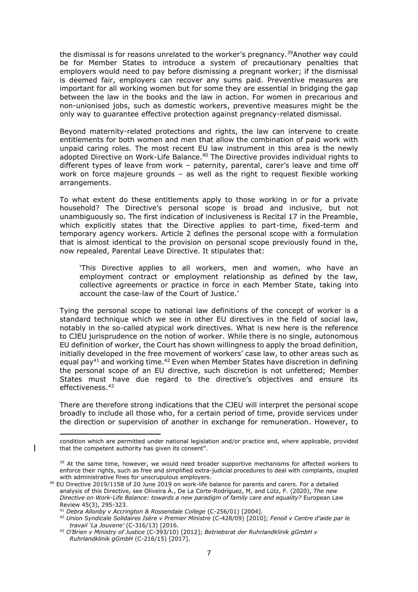the dismissal is for reasons unrelated to the worker's pregnancy.<sup>39</sup>Another way could be for Member States to introduce a system of precautionary penalties that employers would need to pay before dismissing a pregnant worker; if the dismissal is deemed fair, employers can recover any sums paid. Preventive measures are important for all working women but for some they are essential in bridging the gap between the law in the books and the law in action. For women in precarious and non-unionised jobs, such as domestic workers, preventive measures might be the only way to guarantee effective protection against pregnancy-related dismissal.

Beyond maternity-related protections and rights, the law can intervene to create entitlements for both women and men that allow the combination of paid work with unpaid caring roles. The most recent EU law instrument in this area is the newly adopted Directive on Work-Life Balance.<sup>40</sup> The Directive provides individual rights to different types of leave from work – paternity, parental, carer's leave and time off work on force majeure grounds – as well as the right to request flexible working arrangements.

To what extent do these entitlements apply to those working in or for a private household? The Directive's personal scope is broad and inclusive, but not unambiguously so. The first indication of inclusiveness is Recital 17 in the Preamble, which explicitly states that the Directive applies to part-time, fixed-term and temporary agency workers. Article 2 defines the personal scope with a formulation that is almost identical to the provision on personal scope previously found in the, now repealed, Parental Leave Directive. It stipulates that:

'This Directive applies to all workers, men and women, who have an employment contract or employment relationship as defined by the law, collective agreements or practice in force in each Member State, taking into account the case-law of the Court of Justice.'

Tying the personal scope to national law definitions of the concept of worker is a standard technique which we see in other EU directives in the field of social law, notably in the so-called atypical work directives. What is new here is the reference to CJEU jurisprudence on the notion of worker. While there is no single, autonomous EU definition of worker, the Court has shown willingness to apply the broad definition, initially developed in the free movement of workers' case law, to other areas such as equal pay<sup>41</sup> and working time.<sup>42</sup> Even when Member States have discretion in defining the personal scope of an EU directive, such discretion is not unfettered; Member States must have due regard to the directive's objectives and ensure its effectiveness.<sup>43</sup>

There are therefore strong indications that the CJEU will interpret the personal scope broadly to include all those who, for a certain period of time, provide services under the direction or supervision of another in exchange for remuneration. However, to

condition which are permitted under national legislation and/or practice and, where applicable, provided that the competent authority has given its consent".

<sup>&</sup>lt;sup>39</sup> At the same time, however, we would need broader supportive mechanisms for affected workers to enforce their rights, such as free and simplified extra-judicial procedures to deal with complaints, coupled with administrative fines for unscrupulous employers.

<sup>40</sup> EU Directive 2019/1158 of 20 June 2019 on work-life balance for parents and carers. For a detailed analysis of this Directive, see Oliveira Á., De La Corte-Rodríguez, M, and Lütz, F. (2020), *The new Directive on Work-Life Balance: towards a new paradigm of family care and equality?* European Law Review 45(3), 295-323.

<sup>41</sup> *Debra Allonby v Accrington & Rossendale College* (C-256/01) [2004].

<sup>42</sup> *Union Syndicale Solidaires Isère v Premier Ministre* (C-428/09) [2010]; *Fenoll v Centre d'aide par le travail 'La Jouvene'* (C-316/13) [2016.

<sup>43</sup> *O'Brien v Ministry of Justice* (C-393/10) [2012]; *Betriebsrat der Ruhrlandklinik gGmbH v Ruhrlandklinik gGmbH* (C-216/15) [2017].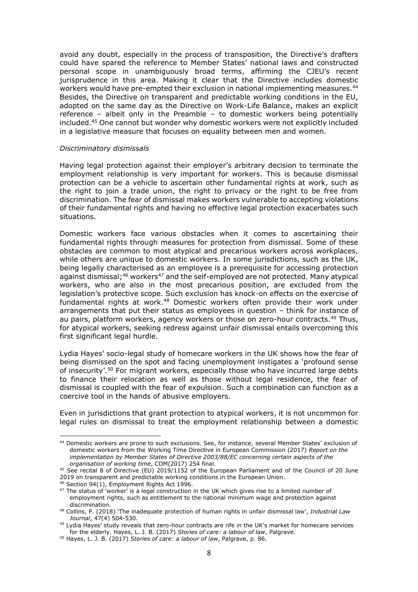avoid any doubt, especially in the process of transposition, the Directive's drafters could have spared the reference to Member States' national laws and constructed personal scope in unambiguously broad terms, affirming the CJEU's recent jurisprudence in this area. Making it clear that the Directive includes domestic workers would have pre-empted their exclusion in national implementing measures.<sup>44</sup> Besides, the Directive on transparent and predictable working conditions in the EU, adopted on the same day as the Directive on Work-Life Balance, makes an explicit reference – albeit only in the Preamble – to domestic workers being potentially included.<sup>45</sup> One cannot but wonder why domestic workers were not explicitly included in a legislative measure that focuses on equality between men and women.

#### *Discriminatory dismissals*

Having legal protection against their employer's arbitrary decision to terminate the employment relationship is very important for workers. This is because dismissal protection can be a vehicle to ascertain other fundamental rights at work, such as the right to join a trade union, the right to privacy or the right to be free from discrimination. The fear of dismissal makes workers vulnerable to accepting violations of their fundamental rights and having no effective legal protection exacerbates such situations.

Domestic workers face various obstacles when it comes to ascertaining their fundamental rights through measures for protection from dismissal. Some of these obstacles are common to most atypical and precarious workers across workplaces, while others are unique to domestic workers. In some jurisdictions, such as the UK, being legally characterised as an employee is a prerequisite for accessing protection against dismissal;<sup>46</sup> workers<sup>47</sup> and the self-employed are not protected. Many atypical workers, who are also in the most precarious position, are excluded from the legislation's protective scope. Such exclusion has knock-on effects on the exercise of fundamental rights at work.<sup>48</sup> Domestic workers often provide their work under arrangements that put their status as employees in question – think for instance of au pairs, platform workers, agency workers or those on zero-hour contracts.<sup>49</sup> Thus, for atypical workers, seeking redress against unfair dismissal entails overcoming this first significant legal hurdle.

Lydia Hayes' socio-legal study of homecare workers in the UK shows how the fear of being dismissed on the spot and facing unemployment instigates a 'profound sense of insecurity'.<sup>50</sup> For migrant workers, especially those who have incurred large debts to finance their relocation as well as those without legal residence, the fear of dismissal is coupled with the fear of expulsion. Such a combination can function as a coercive tool in the hands of abusive employers.

Even in jurisdictions that grant protection to atypical workers, it is not uncommon for legal rules on dismissal to treat the employment relationship between a domestic

<sup>44</sup> Domestic workers are prone to such exclusions. See, for instance, several Member States' exclusion of domestic workers from the Working Time Directive in European Commission (2017) *Report on the implementation by Member States of Directive 2003/88/EC concerning certain aspects of the organisation of working time*, COM(2017) 254 final.

<sup>45</sup> See recital 8 of Directive (EU) 2019/1152 of the European Parliament and of the Council of 20 June 2019 on transparent and predictable working conditions in the European Union.

<sup>46</sup> Section 94(1), Employment Rights Act 1996.

<sup>&</sup>lt;sup>47</sup> The status of 'worker' is a legal construction in the UK which gives rise to a limited number of employment rights, such as entitlement to the national minimum wage and protection against discrimination.

<sup>48</sup> Collins, P. (2018) 'The inadequate protection of human rights in unfair dismissal law', *Industrial Law Journal*, 47(4) 504-530.

<sup>49</sup> Lydia Hayes' study reveals that zero-hour contracts are rife in the UK's market for homecare services for the elderly. Hayes, L. J. B. (2017) *Stories of care: a labour of law*, Palgrave.

<sup>50</sup> Hayes, L. J. B. (2017) *Stories of care: a labour of law*, Palgrave, p. 86.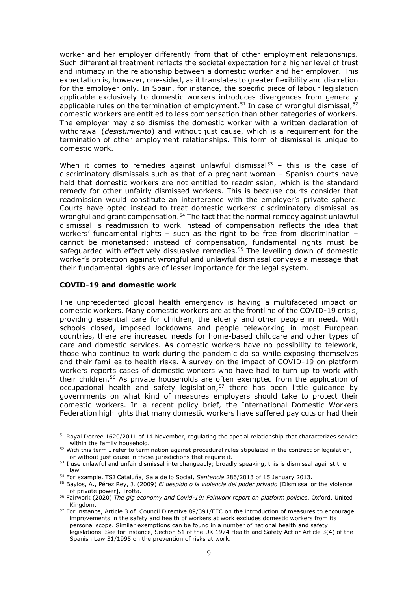worker and her employer differently from that of other employment relationships. Such differential treatment reflects the societal expectation for a higher level of trust and intimacy in the relationship between a domestic worker and her employer. This expectation is, however, one-sided, as it translates to greater flexibility and discretion for the employer only. In Spain, for instance, the specific piece of labour legislation applicable exclusively to domestic workers introduces divergences from generally applicable rules on the termination of employment.<sup>51</sup> In case of wrongful dismissal,<sup>52</sup> domestic workers are entitled to less compensation than other categories of workers. The employer may also dismiss the domestic worker with a written declaration of withdrawal (*desistimiento*) and without just cause, which is a requirement for the termination of other employment relationships. This form of dismissal is unique to domestic work.

When it comes to remedies against unlawful dismissal $53$  – this is the case of discriminatory dismissals such as that of a pregnant woman – Spanish courts have held that domestic workers are not entitled to readmission, which is the standard remedy for other unfairly dismissed workers. This is because courts consider that readmission would constitute an interference with the employer's private sphere. Courts have opted instead to treat domestic workers' discriminatory dismissal as wrongful and grant compensation.<sup>54</sup> The fact that the normal remedy against unlawful dismissal is readmission to work instead of compensation reflects the idea that workers' fundamental rights – such as the right to be free from discrimination – cannot be monetarised; instead of compensation, fundamental rights must be safeguarded with effectively dissuasive remedies.<sup>55</sup> The levelling down of domestic worker's protection against wrongful and unlawful dismissal conveys a message that their fundamental rights are of lesser importance for the legal system.

# **COVID-19 and domestic work**

The unprecedented global health emergency is having a multifaceted impact on domestic workers. Many domestic workers are at the frontline of the COVID-19 crisis, providing essential care for children, the elderly and other people in need. With schools closed, imposed lockdowns and people teleworking in most European countries, there are increased needs for home-based childcare and other types of care and domestic services. As domestic workers have no possibility to telework, those who continue to work during the pandemic do so while exposing themselves and their families to health risks. A survey on the impact of COVID-19 on platform workers reports cases of domestic workers who have had to turn up to work with their children.<sup>56</sup> As private households are often exempted from the application of occupational health and safety legislation, $57$  there has been little guidance by governments on what kind of measures employers should take to protect their domestic workers. In a recent policy brief, the International Domestic Workers Federation highlights that many domestic workers have suffered pay cuts or had their

<sup>&</sup>lt;sup>51</sup> Royal Decree 1620/2011 of 14 November, regulating the special relationship that characterizes service within the family household.

 $52$  With this term I refer to termination against procedural rules stipulated in the contract or legislation, or without just cause in those jurisdictions that require it.

<sup>&</sup>lt;sup>53</sup> I use unlawful and unfair dismissal interchangeably; broadly speaking, this is dismissal against the law.

<sup>54</sup> For example, TSJ Cataluña, Sala de lo Social, *Sentencia* 286/2013 of 15 January 2013.

<sup>55</sup> Baylos, A., Pérez Rey, J. (2009) *El despido o la violencia del poder privado* [Dismissal or the violence of private power], Trotta.

<sup>56</sup> Fairwork (2020) *The gig economy and Covid-19: Fairwork report on platform policies*, Oxford, United Kingdom.

<sup>57</sup> For instance, Article 3 of Council Directive 89/391/EEC on the introduction of measures to encourage improvements in the safety and health of workers at work excludes domestic workers from its personal scope. Similar exemptions can be found in a number of national health and safety legislations. See for instance, Section 51 of the UK 1974 Health and Safety Act or Article 3(4) of the Spanish Law 31/1995 on the prevention of risks at work.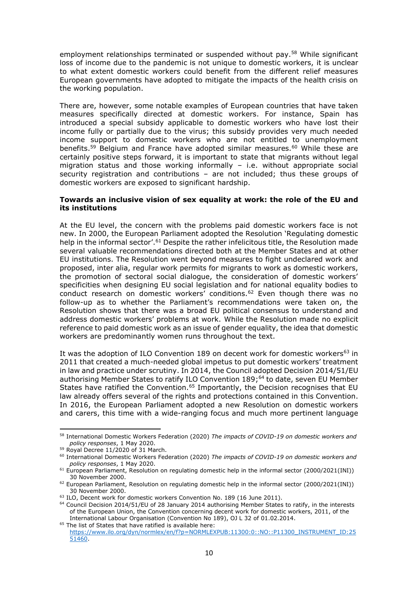employment relationships terminated or suspended without pay.<sup>58</sup> While significant loss of income due to the pandemic is not unique to domestic workers, it is unclear to what extent domestic workers could benefit from the different relief measures European governments have adopted to mitigate the impacts of the health crisis on the working population.

There are, however, some notable examples of European countries that have taken measures specifically directed at domestic workers. For instance, Spain has introduced a special subsidy applicable to domestic workers who have lost their income fully or partially due to the virus; this subsidy provides very much needed income support to domestic workers who are not entitled to unemployment benefits.<sup>59</sup> Belgium and France have adopted similar measures.<sup>60</sup> While these are certainly positive steps forward, it is important to state that migrants without legal migration status and those working informally – i.e. without appropriate social security registration and contributions – are not included; thus these groups of domestic workers are exposed to significant hardship.

# **Towards an inclusive vision of sex equality at work: the role of the EU and its institutions**

At the EU level, the concern with the problems paid domestic workers face is not new. In 2000, the European Parliament adopted the Resolution 'Regulating domestic help in the informal sector'.<sup>61</sup> Despite the rather infelicitous title, the Resolution made several valuable recommendations directed both at the Member States and at other EU institutions. The Resolution went beyond measures to fight undeclared work and proposed, inter alia, regular work permits for migrants to work as domestic workers, the promotion of sectoral social dialogue, the consideration of domestic workers' specificities when designing EU social legislation and for national equality bodies to conduct research on domestic workers' conditions.<sup>62</sup> Even though there was no follow-up as to whether the Parliament's recommendations were taken on, the Resolution shows that there was a broad EU political consensus to understand and address domestic workers' problems at work. While the Resolution made no explicit reference to paid domestic work as an issue of gender equality, the idea that domestic workers are predominantly women runs throughout the text.

It was the adoption of ILO Convention 189 on decent work for domestic workers<sup>63</sup> in 2011 that created a much-needed global impetus to put domestic workers' treatment in law and practice under scrutiny. In 2014, the Council adopted Decision 2014/51/EU authorising Member States to ratify ILO Convention 189; <sup>64</sup> to date, seven EU Member States have ratified the Convention.<sup>65</sup> Importantly, the Decision recognises that EU law already offers several of the rights and protections contained in this Convention. In 2016, the European Parliament adopted a new Resolution on domestic workers and carers, this time with a wide-ranging focus and much more pertinent language

<sup>58</sup> International Domestic Workers Federation (2020) *The impacts of COVID-19 on domestic workers and policy responses*, 1 May 2020.

 $59$  Royal Decree 11/2020 of 31 March.

<sup>60</sup> International Domestic Workers Federation (2020) *The impacts of COVID-19 on domestic workers and policy responses*, 1 May 2020.

<sup>&</sup>lt;sup>61</sup> European Parliament, Resolution on regulating domestic help in the informal sector (2000/2021(INI)) 30 November 2000.

<sup>62</sup> European Parliament, Resolution on regulating domestic help in the informal sector (2000/2021(INI)) 30 November 2000.

<sup>&</sup>lt;sup>63</sup> ILO, Decent work for domestic workers Convention No. 189 (16 June 2011).

<sup>&</sup>lt;sup>64</sup> Council Decision 2014/51/EU of 28 January 2014 authorising Member States to ratify, in the interests of the European Union, the Convention concerning decent work for domestic workers, 2011, of the International Labour Organisation (Convention No 189), OJ L 32 of 01.02.2014.

<sup>&</sup>lt;sup>65</sup> The list of States that have ratified is available here: [https://www.ilo.org/dyn/normlex/en/f?p=NORMLEXPUB:11300:0::NO::P11300\\_INSTRUMENT\\_ID:25](https://www.ilo.org/dyn/normlex/en/f?p=NORMLEXPUB:11300:0::NO::P11300_INSTRUMENT_ID:2551460) [51460.](https://www.ilo.org/dyn/normlex/en/f?p=NORMLEXPUB:11300:0::NO::P11300_INSTRUMENT_ID:2551460)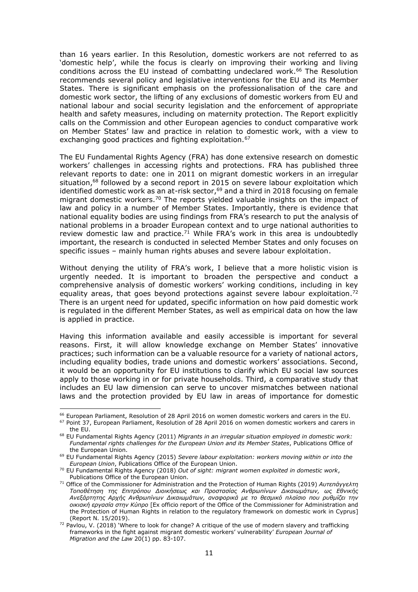than 16 years earlier. In this Resolution, domestic workers are not referred to as 'domestic help', while the focus is clearly on improving their working and living conditions across the EU instead of combatting undeclared work. <sup>66</sup> The Resolution recommends several policy and legislative interventions for the EU and its Member States. There is significant emphasis on the professionalisation of the care and domestic work sector, the lifting of any exclusions of domestic workers from EU and national labour and social security legislation and the enforcement of appropriate health and safety measures, including on maternity protection. The Report explicitly calls on the Commission and other European agencies to conduct comparative work on Member States' law and practice in relation to domestic work, with a view to exchanging good practices and fighting exploitation.<sup>67</sup>

The EU Fundamental Rights Agency (FRA) has done extensive research on domestic workers' challenges in accessing rights and protections. FRA has published three relevant reports to date: one in 2011 on migrant domestic workers in an irregular situation,<sup>68</sup> followed by a second report in 2015 on severe labour exploitation which identified domestic work as an at-risk sector.<sup>69</sup> and a third in 2018 focusing on female migrant domestic workers.<sup>70</sup> The reports yielded valuable insights on the impact of law and policy in a number of Member States. Importantly, there is evidence that national equality bodies are using findings from FRA's research to put the analysis of national problems in a broader European context and to urge national authorities to review domestic law and practice.<sup>71</sup> While FRA's work in this area is undoubtedly important, the research is conducted in selected Member States and only focuses on specific issues – mainly human rights abuses and severe labour exploitation.

Without denying the utility of FRA's work, I believe that a more holistic vision is urgently needed. It is important to broaden the perspective and conduct a comprehensive analysis of domestic workers' working conditions, including in key equality areas, that goes beyond protections against severe labour exploitation.<sup>72</sup> There is an urgent need for updated, specific information on how paid domestic work is regulated in the different Member States, as well as empirical data on how the law is applied in practice.

Having this information available and easily accessible is important for several reasons. First, it will allow knowledge exchange on Member States' innovative practices; such information can be a valuable resource for a variety of national actors, including equality bodies, trade unions and domestic workers' associations. Second, it would be an opportunity for EU institutions to clarify which EU social law sources apply to those working in or for private households. Third, a comparative study that includes an EU law dimension can serve to uncover mismatches between national laws and the protection provided by EU law in areas of importance for domestic

<sup>66</sup> European Parliament, Resolution of 28 April 2016 on women domestic workers and carers in the EU.

<sup>67</sup> Point 37, European Parliament, Resolution of 28 April 2016 on women domestic workers and carers in the EU.

<sup>68</sup> EU Fundamental Rights Agency (2011) *Migrants in an irregular situation employed in domestic work: Fundamental rights challenges for the European Union and its Member States*, Publications Office of the European Union.

<sup>69</sup> EU Fundamental Rights Agency (2015) *Severe labour exploitation: workers moving within or into the European Union*, Publications Office of the European Union.

<sup>70</sup> EU Fundamental Rights Agency (2018) *Out of sight: migrant women exploited in domestic work*, Publications Office of the European Union.

<sup>71</sup> Office of the Commissioner for Administration and the Protection of Human Rights (2019) *Αυτεπάγγελτη Τοποθέτηση της Επιτρόπου Διοικήσεως και Προστασίας Ανθρωπίνων Δικαιωμάτων, ως Εθνικής Ανεξάρτητης Αρχής Ανθρωπίνων Δικαιωμάτων, αναφορικά με το θεσμικό πλαίσιο που ρυθμίζει την οικιακή εργασία στην Κύπρο* [Ex officio report of the Office of the Commissioner for Administration and the Protection of Human Rights in relation to the regulatory framework on domestic work in Cyprus] (Report N. 15/2019).

 $72$  Pavlou, V. (2018) 'Where to look for change? A critique of the use of modern slavery and trafficking frameworks in the fight against migrant domestic workers' vulnerability' *European Journal of Migration and the Law* 20(1) pp. 83-107.